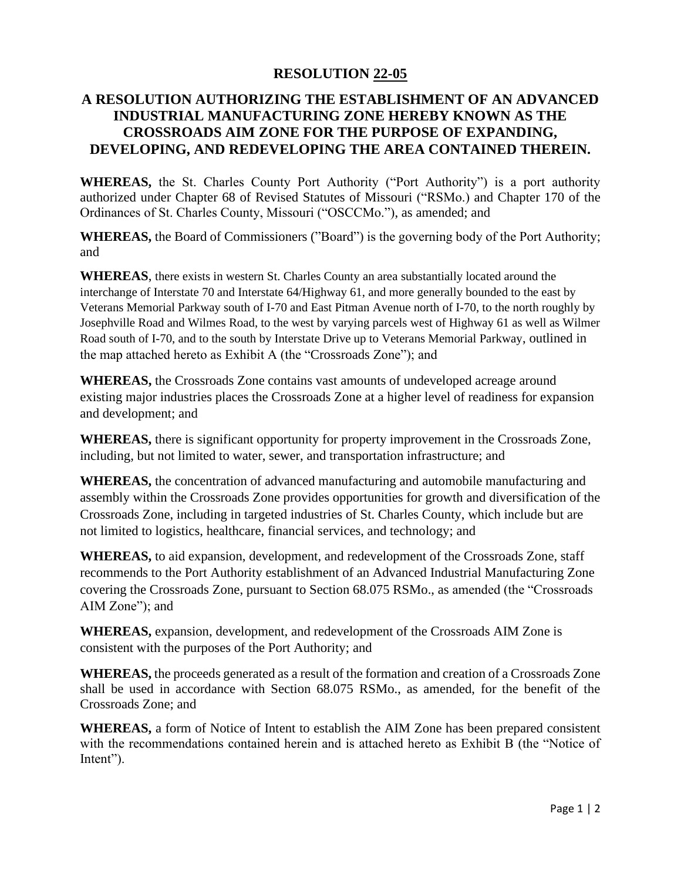## **RESOLUTION 22-05**

## **A RESOLUTION AUTHORIZING THE ESTABLISHMENT OF AN ADVANCED INDUSTRIAL MANUFACTURING ZONE HEREBY KNOWN AS THE CROSSROADS AIM ZONE FOR THE PURPOSE OF EXPANDING, DEVELOPING, AND REDEVELOPING THE AREA CONTAINED THEREIN.**

**WHEREAS,** the St. Charles County Port Authority ("Port Authority") is a port authority authorized under Chapter 68 of Revised Statutes of Missouri ("RSMo.) and Chapter 170 of the Ordinances of St. Charles County, Missouri ("OSCCMo."), as amended; and

**WHEREAS,** the Board of Commissioners ("Board") is the governing body of the Port Authority; and

**WHEREAS**, there exists in western St. Charles County an area substantially located around the interchange of Interstate 70 and Interstate 64/Highway 61, and more generally bounded to the east by Veterans Memorial Parkway south of I-70 and East Pitman Avenue north of I-70, to the north roughly by Josephville Road and Wilmes Road, to the west by varying parcels west of Highway 61 as well as Wilmer Road south of I-70, and to the south by Interstate Drive up to Veterans Memorial Parkway, outlined in the map attached hereto as Exhibit A (the "Crossroads Zone"); and

**WHEREAS,** the Crossroads Zone contains vast amounts of undeveloped acreage around existing major industries places the Crossroads Zone at a higher level of readiness for expansion and development; and

**WHEREAS,** there is significant opportunity for property improvement in the Crossroads Zone, including, but not limited to water, sewer, and transportation infrastructure; and

**WHEREAS,** the concentration of advanced manufacturing and automobile manufacturing and assembly within the Crossroads Zone provides opportunities for growth and diversification of the Crossroads Zone, including in targeted industries of St. Charles County, which include but are not limited to logistics, healthcare, financial services, and technology; and

**WHEREAS,** to aid expansion, development, and redevelopment of the Crossroads Zone, staff recommends to the Port Authority establishment of an Advanced Industrial Manufacturing Zone covering the Crossroads Zone, pursuant to Section 68.075 RSMo., as amended (the "Crossroads AIM Zone"); and

**WHEREAS,** expansion, development, and redevelopment of the Crossroads AIM Zone is consistent with the purposes of the Port Authority; and

**WHEREAS,** the proceeds generated as a result of the formation and creation of a Crossroads Zone shall be used in accordance with Section 68.075 RSMo., as amended, for the benefit of the Crossroads Zone; and

**WHEREAS,** a form of Notice of Intent to establish the AIM Zone has been prepared consistent with the recommendations contained herein and is attached hereto as Exhibit B (the "Notice of Intent").